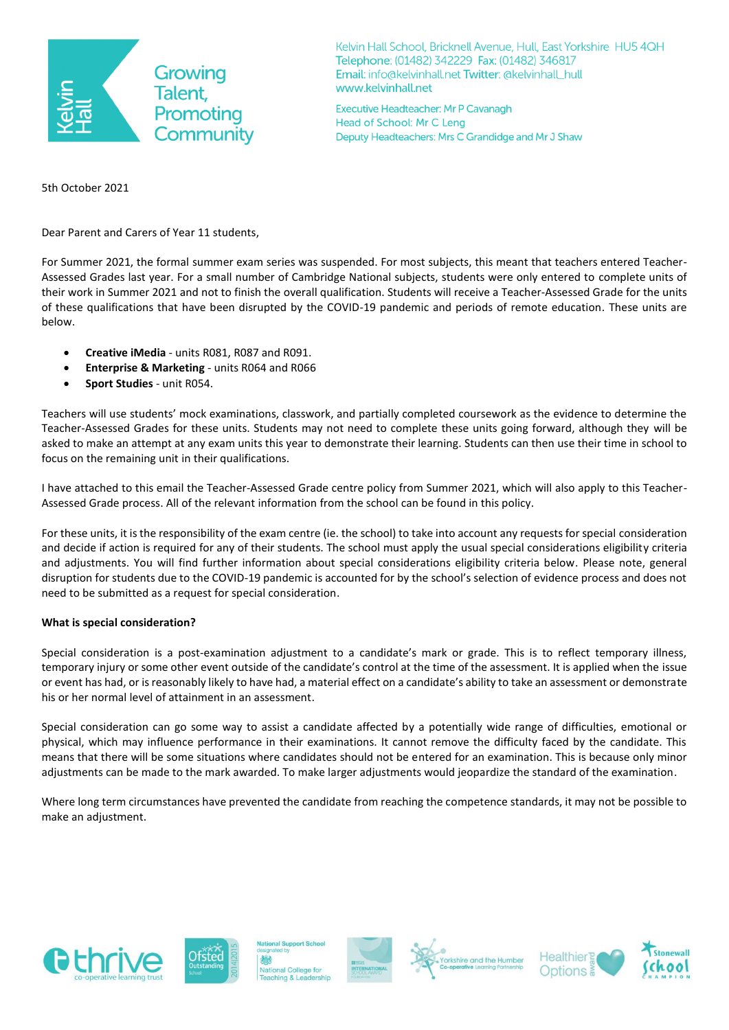

Kelvin Hall School, Bricknell Avenue, Hull, East Yorkshire HU5 4QH Telephone: (01482) 342229 Fax: (01482) 346817 Email: info@kelvinhall.net Twitter: @kelvinhall\_hull www.kelvinhall.net

Executive Headteacher: Mr P Cavanagh Head of School: Mr C Leng Deputy Headteachers: Mrs C Grandidge and Mr J Shaw

5th October 2021

Dear Parent and Carers of Year 11 students,

For Summer 2021, the formal summer exam series was suspended. For most subjects, this meant that teachers entered Teacher-Assessed Grades last year. For a small number of Cambridge National subjects, students were only entered to complete units of their work in Summer 2021 and not to finish the overall qualification. Students will receive a Teacher-Assessed Grade for the units of these qualifications that have been disrupted by the COVID-19 pandemic and periods of remote education. These units are below.

- **Creative iMedia** units R081, R087 and R091.
- **Enterprise & Marketing** units R064 and R066
- **Sport Studies** unit R054.

Teachers will use students' mock examinations, classwork, and partially completed coursework as the evidence to determine the Teacher-Assessed Grades for these units. Students may not need to complete these units going forward, although they will be asked to make an attempt at any exam units this year to demonstrate their learning. Students can then use their time in school to focus on the remaining unit in their qualifications.

I have attached to this email the Teacher-Assessed Grade centre policy from Summer 2021, which will also apply to this Teacher-Assessed Grade process. All of the relevant information from the school can be found in this policy.

For these units, it is the responsibility of the exam centre (ie. the school) to take into account any requests for special consideration and decide if action is required for any of their students. The school must apply the usual special considerations eligibility criteria and adjustments. You will find further information about special considerations eligibility criteria below. Please note, general disruption for students due to the COVID-19 pandemic is accounted for by the school's selection of evidence process and does not need to be submitted as a request for special consideration.

## **What is special consideration?**

Special consideration is a post-examination adjustment to a candidate's mark or grade. This is to reflect temporary illness, temporary injury or some other event outside of the candidate's control at the time of the assessment. It is applied when the issue or event has had, or is reasonably likely to have had, a material effect on a candidate's ability to take an assessment or demonstrate his or her normal level of attainment in an assessment.

Special consideration can go some way to assist a candidate affected by a potentially wide range of difficulties, emotional or physical, which may influence performance in their examinations. It cannot remove the difficulty faced by the candidate. This means that there will be some situations where candidates should not be entered for an examination. This is because only minor adjustments can be made to the mark awarded. To make larger adjustments would jeopardize the standard of the examination.

Where long term circumstances have prevented the candidate from reaching the competence standards, it may not be possible to make an adjustment.





al College for